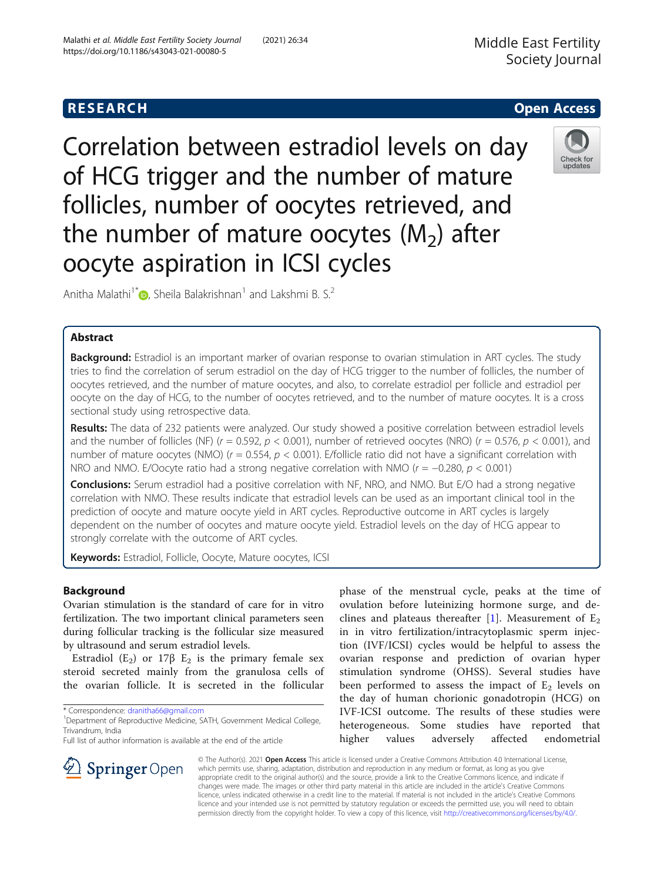# **RESEARCH CHE Open Access**

Correlation between estradiol levels on day of HCG trigger and the number of mature follicles, number of oocytes retrieved, and the number of mature oocytes  $(M_2)$  after oocyte aspiration in ICSI cycles



Anitha Malathi<sup>1[\\*](http://orcid.org/0000-0001-8837-1348)</sup> **D**. Sheila Balakrishnan<sup>1</sup> and Lakshmi B. S.<sup>2</sup>

## Abstract

Background: Estradiol is an important marker of ovarian response to ovarian stimulation in ART cycles. The study tries to find the correlation of serum estradiol on the day of HCG trigger to the number of follicles, the number of oocytes retrieved, and the number of mature oocytes, and also, to correlate estradiol per follicle and estradiol per oocyte on the day of HCG, to the number of oocytes retrieved, and to the number of mature oocytes. It is a cross sectional study using retrospective data.

Results: The data of 232 patients were analyzed. Our study showed a positive correlation between estradiol levels and the number of follicles (NF) ( $r = 0.592$ ,  $p < 0.001$ ), number of retrieved oocytes (NRO) ( $r = 0.576$ ,  $p < 0.001$ ), and number of mature oocytes (NMO) ( $r = 0.554$ ,  $p < 0.001$ ). E/follicle ratio did not have a significant correlation with NRO and NMO. E/Oocyte ratio had a strong negative correlation with NMO ( $r = -0.280$ ,  $p < 0.001$ )

**Conclusions:** Serum estradiol had a positive correlation with NF, NRO, and NMO. But E/O had a strong negative correlation with NMO. These results indicate that estradiol levels can be used as an important clinical tool in the prediction of oocyte and mature oocyte yield in ART cycles. Reproductive outcome in ART cycles is largely dependent on the number of oocytes and mature oocyte yield. Estradiol levels on the day of HCG appear to strongly correlate with the outcome of ART cycles.

Keywords: Estradiol, Follicle, Oocyte, Mature oocytes, ICSI

## Background

Ovarian stimulation is the standard of care for in vitro fertilization. The two important clinical parameters seen during follicular tracking is the follicular size measured by ultrasound and serum estradiol levels.

Estradiol (E<sub>2</sub>) or 17 $\beta$  E<sub>2</sub> is the primary female sex steroid secreted mainly from the granulosa cells of the ovarian follicle. It is secreted in the follicular

\* Correspondence: [dranitha66@gmail.com](mailto:dranitha66@gmail.com) <sup>1</sup>

 $\mathscr{L}$  Springer Open

Full list of author information is available at the end of the article

phase of the menstrual cycle, peaks at the time of ovulation before luteinizing hormone surge, and de-clines and plateaus thereafter [[1\]](#page-8-0). Measurement of  $E_2$ in in vitro fertilization/intracytoplasmic sperm injection (IVF/ICSI) cycles would be helpful to assess the ovarian response and prediction of ovarian hyper stimulation syndrome (OHSS). Several studies have been performed to assess the impact of  $E_2$  levels on the day of human chorionic gonadotropin (HCG) on IVF-ICSI outcome. The results of these studies were heterogeneous. Some studies have reported that higher values adversely affected endometrial

© The Author(s). 2021 Open Access This article is licensed under a Creative Commons Attribution 4.0 International License, which permits use, sharing, adaptation, distribution and reproduction in any medium or format, as long as you give appropriate credit to the original author(s) and the source, provide a link to the Creative Commons licence, and indicate if changes were made. The images or other third party material in this article are included in the article's Creative Commons licence, unless indicated otherwise in a credit line to the material. If material is not included in the article's Creative Commons licence and your intended use is not permitted by statutory regulation or exceeds the permitted use, you will need to obtain permission directly from the copyright holder. To view a copy of this licence, visit <http://creativecommons.org/licenses/by/4.0/>.

<sup>&</sup>lt;sup>1</sup> Department of Reproductive Medicine, SATH, Government Medical College, Trivandrum, India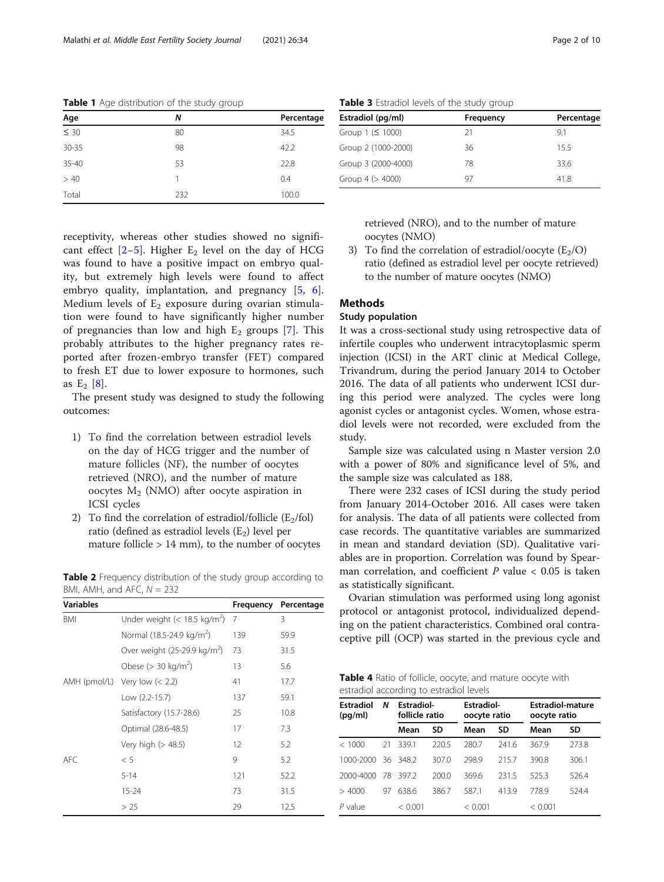| Age              | Ν   | Percentage |
|------------------|-----|------------|
| $\frac{1}{5}$ 30 | 80  | 34.5       |
| $30 - 35$        | 98  | 42.2       |
| 35-40            | 53  | 22.8       |
| > 40             |     | 0.4        |
| Total            | 232 | 100.0      |
|                  |     |            |

<span id="page-1-0"></span>Table 1 Age distribution of the study group

Table 3 Estradiol levels of the study group

| Frequency | Percentage |
|-----------|------------|
| 21        | 91         |
| 36        | 155        |
| 78        | 33.6       |
| 97        | 41.8       |
|           |            |

receptivity, whereas other studies showed no significant effect  $[2-5]$  $[2-5]$  $[2-5]$  $[2-5]$  $[2-5]$ . Higher  $E_2$  level on the day of HCG was found to have a positive impact on embryo quality, but extremely high levels were found to affect embryo quality, implantation, and pregnancy [[5,](#page-8-0) [6](#page-8-0)]. Medium levels of  $E_2$  exposure during ovarian stimulation were found to have significantly higher number of pregnancies than low and high  $E_2$  groups [\[7](#page-8-0)]. This probably attributes to the higher pregnancy rates reported after frozen-embryo transfer (FET) compared to fresh ET due to lower exposure to hormones, such as  $E_2$  [[8\]](#page-8-0).

The present study was designed to study the following outcomes:

- 1) To find the correlation between estradiol levels on the day of HCG trigger and the number of mature follicles (NF), the number of oocytes retrieved (NRO), and the number of mature oocytes  $M<sub>2</sub>$  (NMO) after oocyte aspiration in ICSI cycles
- 2) To find the correlation of estradiol/follicle  $(E_2/fol)$ ratio (defined as estradiol levels  $(E_2)$  level per mature follicle  $> 14$  mm), to the number of oocytes

Table 2 Frequency distribution of the study group according to BMI, AMH, and AFC,  $N = 232$ 

| <b>Variables</b> |                                          | Frequency | Percentage |
|------------------|------------------------------------------|-----------|------------|
| BMI              | Under weight $(< 18.5 \text{ kg/m}^2)$ 7 |           | 3          |
|                  | Normal (18.5-24.9 kg/m <sup>2</sup> )    | 139       | 59.9       |
|                  | Over weight $(25-29.9 \text{ kg/m}^2)$   | 73        | 31.5       |
|                  | Obese ( $>$ 30 kg/m <sup>2</sup> )       | 13        | 5.6        |
|                  | AMH (pmol/L) Very low $(< 2.2)$          | 41        | 17.7       |
|                  | Low (2.2-15.7)                           | 137       | 59.1       |
|                  | Satisfactory (15.7-28.6)                 | 25        | 10.8       |
|                  | Optimal (28.6-48.5)                      | 17        | 7.3        |
|                  | Very high (> 48.5)                       | 12        | 5.2        |
| AFC.             | < 5                                      | 9         | 5.2        |
|                  | $5 - 14$                                 | 121       | 52.2       |
|                  | $15 - 24$                                | 73        | 31.5       |
|                  | > 25                                     | 29        | 12.5       |

retrieved (NRO), and to the number of mature oocytes (NMO)

3) To find the correlation of estradiol/oocyte  $(E_2/O)$ ratio (defined as estradiol level per oocyte retrieved) to the number of mature oocytes (NMO)

## **Methods**

## Study population

It was a cross-sectional study using retrospective data of infertile couples who underwent intracytoplasmic sperm injection (ICSI) in the ART clinic at Medical College, Trivandrum, during the period January 2014 to October 2016. The data of all patients who underwent ICSI during this period were analyzed. The cycles were long agonist cycles or antagonist cycles. Women, whose estradiol levels were not recorded, were excluded from the study.

Sample size was calculated using n Master version 2.0 with a power of 80% and significance level of 5%, and the sample size was calculated as 188.

There were 232 cases of ICSI during the study period from January 2014-October 2016. All cases were taken for analysis. The data of all patients were collected from case records. The quantitative variables are summarized in mean and standard deviation (SD). Qualitative variables are in proportion. Correlation was found by Spearman correlation, and coefficient  $P$  value  $< 0.05$  is taken as statistically significant.

Ovarian stimulation was performed using long agonist protocol or antagonist protocol, individualized depending on the patient characteristics. Combined oral contraceptive pill (OCP) was started in the previous cycle and

| Table 4 Ratio of follicle, oocyte, and mature oocyte with |  |  |  |  |
|-----------------------------------------------------------|--|--|--|--|
| estradiol according to estradiol levels                   |  |  |  |  |

| <b>Estradiol</b><br>(pq/ml) | N  |         | <b>Estradiol-</b><br>follicle ratio |         | <b>Estradiol-</b><br>oocyte ratio |         | <b>Estradiol-mature</b><br>oocyte ratio |  |  |
|-----------------------------|----|---------|-------------------------------------|---------|-----------------------------------|---------|-----------------------------------------|--|--|
|                             |    | Mean    | SD                                  | Mean    | SD                                | Mean    | SD                                      |  |  |
| < 1000                      | 21 | 3391    | 220.5                               | 280.7   | 2416                              | 367.9   | 273.8                                   |  |  |
| 1000-2000                   | 36 | 348.2   | 307.0                               | 298.9   | 2157                              | 390.8   | 306.1                                   |  |  |
| 2000-4000                   | 78 | 3972    | 200.0                               | 3696    | 2315                              | 525.3   | 526.4                                   |  |  |
| 4000<br>$\geq$              | 97 | 6386    | 386.7                               | 587.1   | 413.9                             | 7789    | 524.4                                   |  |  |
| $P$ value                   |    | < 0.001 |                                     | < 0.001 |                                   | < 0.001 |                                         |  |  |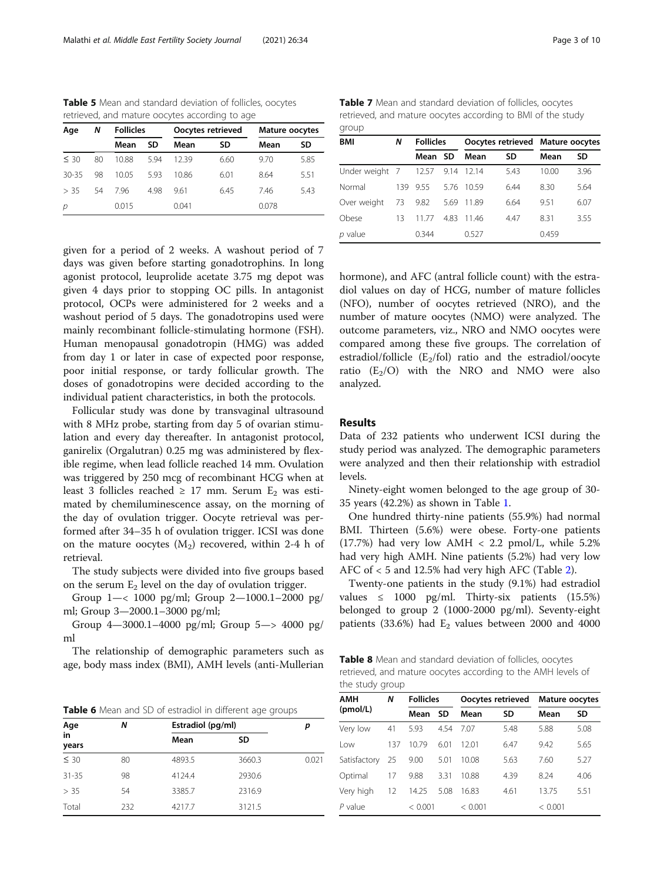<span id="page-2-0"></span>Table 5 Mean and standard deviation of follicles, oocytes retrieved, and mature oocytes according to age

| Age       | Ν  | <b>Follicles</b> |      |       | Oocytes retrieved | Mature oocytes |      |  |
|-----------|----|------------------|------|-------|-------------------|----------------|------|--|
|           |    | Mean             | SD   | Mean  | SD                | Mean           | SD   |  |
| $\leq 30$ | 80 | 10.88            | 594  | 1239  | 6.60              | 9.70           | 5.85 |  |
| $30 - 35$ | 98 | 10.05            | 593  | 10.86 | 6.01              | 8.64           | 5.51 |  |
| > 35      | 54 | 796              | 4.98 | 9.61  | 6.45              | 746            | 5.43 |  |
| р         |    | 0.015            |      | 0.041 |                   | 0.078          |      |  |

given for a period of 2 weeks. A washout period of 7 days was given before starting gonadotrophins. In long agonist protocol, leuprolide acetate 3.75 mg depot was given 4 days prior to stopping OC pills. In antagonist protocol, OCPs were administered for 2 weeks and a washout period of 5 days. The gonadotropins used were mainly recombinant follicle-stimulating hormone (FSH). Human menopausal gonadotropin (HMG) was added from day 1 or later in case of expected poor response, poor initial response, or tardy follicular growth. The doses of gonadotropins were decided according to the individual patient characteristics, in both the protocols.

Follicular study was done by transvaginal ultrasound with 8 MHz probe, starting from day 5 of ovarian stimulation and every day thereafter. In antagonist protocol, ganirelix (Orgalutran) 0.25 mg was administered by flexible regime, when lead follicle reached 14 mm. Ovulation was triggered by 250 mcg of recombinant HCG when at least 3 follicles reached ≥ 17 mm. Serum  $E_2$  was estimated by chemiluminescence assay, on the morning of the day of ovulation trigger. Oocyte retrieval was performed after 34–35 h of ovulation trigger. ICSI was done on the mature oocytes  $(M_2)$  recovered, within 2-4 h of retrieval.

The study subjects were divided into five groups based on the serum  $E_2$  level on the day of ovulation trigger.

Group 1—< 1000 pg/ml; Group 2—1000.1–2000 pg/ ml; Group 3—2000.1–3000 pg/ml;

Group 4—3000.1–4000 pg/ml; Group 5—> 4000 pg/ ml

The relationship of demographic parameters such as age, body mass index (BMI), AMH levels (anti-Mullerian

Table 6 Mean and SD of estradiol in different age groups

| Age         | Ν   | Estradiol (pg/ml) |        | p     |
|-------------|-----|-------------------|--------|-------|
| in<br>years |     | Mean              | SD     |       |
| $\leq 30$   | 80  | 4893.5            | 3660.3 | 0.021 |
| $31 - 35$   | 98  | 4124.4            | 2930.6 |       |
| > 35        | 54  | 3385.7            | 2316.9 |       |
| Total       | 232 | 4217.7            | 3121.5 |       |

Table 7 Mean and standard deviation of follicles, oocytes retrieved, and mature oocytes according to BMI of the study group

| BMI            | Ν   | <b>Follicles</b> |      | Oocytes retrieved Mature oocytes |      |       |      |
|----------------|-----|------------------|------|----------------------------------|------|-------|------|
|                |     | Mean SD          |      | Mean                             | SD   | Mean  | SD   |
| Under weight 7 |     | 12.57            | 9.14 | -12.14                           | 5.43 | 10.00 | 3.96 |
| Normal         | 139 | 9.55             | 5.76 | -1059                            | 6.44 | 8.30  | 5.64 |
| Over weight    | 73  | 9.82             | 5.69 | -11.89                           | 6.64 | 951   | 6.07 |
| Obese          | 13  | 1177             | 4.83 | 1146                             | 4.47 | 8.31  | 3.55 |
| $p$ value      |     | 0.344            |      | 0.527                            |      | 0.459 |      |

hormone), and AFC (antral follicle count) with the estradiol values on day of HCG, number of mature follicles (NFO), number of oocytes retrieved (NRO), and the number of mature oocytes (NMO) were analyzed. The outcome parameters, viz., NRO and NMO oocytes were compared among these five groups. The correlation of estradiol/follicle  $(E_2$ /fol) ratio and the estradiol/oocyte ratio  $(E_2/O)$  with the NRO and NMO were also analyzed.

### Results

Data of 232 patients who underwent ICSI during the study period was analyzed. The demographic parameters were analyzed and then their relationship with estradiol levels.

Ninety-eight women belonged to the age group of 30- 35 years (42.2%) as shown in Table [1](#page-1-0).

One hundred thirty-nine patients (55.9%) had normal BMI. Thirteen (5.6%) were obese. Forty-one patients  $(17.7%)$  had very low AMH < 2.2 pmol/L, while 5.2% had very high AMH. Nine patients (5.2%) had very low AFC of < 5 and 12.5% had very high AFC (Table [2](#page-1-0)).

Twenty-one patients in the study (9.1%) had estradiol values  $\leq$  1000 pg/ml. Thirty-six patients (15.5%) belonged to group 2 (1000-2000 pg/ml). Seventy-eight patients  $(33.6%)$  had  $E_2$  values between 2000 and 4000

Table 8 Mean and standard deviation of follicles, oocytes retrieved, and mature oocytes according to the AMH levels of the study group

| <b>AMH</b>   | N   | <b>Follicles</b> |      |         | Oocytes retrieved | <b>Mature oocytes</b> |      |
|--------------|-----|------------------|------|---------|-------------------|-----------------------|------|
| (pmol/L)     |     | Mean             | SD   | Mean    | <b>SD</b>         | Mean                  | SD   |
| Very low     | 41  | 5.93             | 4.54 | 7.07    | 5.48              | 5.88                  | 5.08 |
| l ow         | 137 | 10.79            | 6.01 | 1201    | 6.47              | 9.42                  | 5.65 |
| Satisfactory | 25  | 9.00             | 5.01 | 10.08   | 5.63              | 7.60                  | 5.27 |
| Optimal      | 17  | 9.88             | 3.31 | 10.88   | 4.39              | 8.24                  | 4.06 |
| Very high    | 12  | 14.25            | 5.08 | 16.83   | 4.61              | 13.75                 | 5.51 |
| $P$ value    |     | < 0.001          |      | < 0.001 |                   | < 0.001               |      |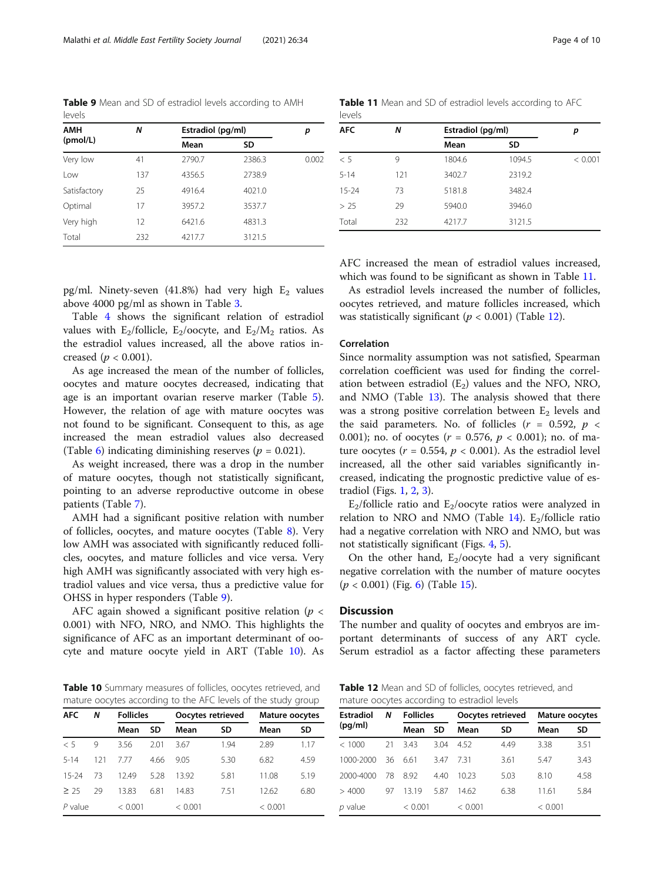Table 9 Mean and SD of estradiol levels according to AMH levels

| AMH          | Ν   | Estradiol (pg/ml) |        | р     |
|--------------|-----|-------------------|--------|-------|
| (pmol/L)     |     | Mean              | SD     |       |
| Very low     | 41  | 2790.7            | 2386.3 | 0.002 |
| Low          | 137 | 4356.5            | 2738.9 |       |
| Satisfactory | 25  | 4916.4            | 4021.0 |       |
| Optimal      | 17  | 3957.2            | 3537.7 |       |
| Very high    | 12  | 6421.6            | 4831.3 |       |
| Total        | 232 | 4217.7            | 3121.5 |       |

Table 11 Mean and SD of estradiol levels according to AFC levels

| <b>AFC</b> | Ν   | Estradiol (pg/ml) | р      |         |
|------------|-----|-------------------|--------|---------|
|            |     | Mean              | SD     |         |
| < 5        | 9   | 1804.6            | 1094.5 | < 0.001 |
| $5 - 14$   | 121 | 3402.7            | 2319.2 |         |
| $15 - 24$  | 73  | 5181.8            | 3482.4 |         |
| > 25       | 29  | 5940.0            | 3946.0 |         |
| Total      | 232 | 4217.7            | 3121.5 |         |

pg/ml. Ninety-seven (41.8%) had very high  $E_2$  values above 4000 pg/ml as shown in Table [3](#page-1-0).

Table [4](#page-1-0) shows the significant relation of estradiol values with E<sub>2</sub>/follicle, E<sub>2</sub>/oocyte, and E<sub>2</sub>/M<sub>2</sub> ratios. As the estradiol values increased, all the above ratios increased ( $p < 0.001$ ).

As age increased the mean of the number of follicles, oocytes and mature oocytes decreased, indicating that age is an important ovarian reserve marker (Table [5](#page-2-0)). However, the relation of age with mature oocytes was not found to be significant. Consequent to this, as age increased the mean estradiol values also decreased (Table [6\)](#page-2-0) indicating diminishing reserves ( $p = 0.021$ ).

As weight increased, there was a drop in the number of mature oocytes, though not statistically significant, pointing to an adverse reproductive outcome in obese patients (Table [7\)](#page-2-0).

AMH had a significant positive relation with number of follicles, oocytes, and mature oocytes (Table [8](#page-2-0)). Very low AMH was associated with significantly reduced follicles, oocytes, and mature follicles and vice versa. Very high AMH was significantly associated with very high estradiol values and vice versa, thus a predictive value for OHSS in hyper responders (Table 9).

AFC again showed a significant positive relation ( $p <$ 0.001) with NFO, NRO, and NMO. This highlights the significance of AFC as an important determinant of oocyte and mature oocyte yield in ART (Table 10). As

Table 10 Summary measures of follicles, oocytes retrieved, and mature oocytes according to the AFC levels of the study group

| <b>AFC</b><br>Ν |     | <b>Follicles</b> |      |         | Oocytes retrieved | <b>Mature oocytes</b> |      |
|-----------------|-----|------------------|------|---------|-------------------|-----------------------|------|
|                 |     | Mean             | SD   | Mean    | SD                | Mean                  | SD   |
| < 5             | 9   | 3.56             | 2.01 | 3.67    | 1.94              | 2.89                  | 1.17 |
| $5 - 14$        | 121 | 777              | 4.66 | 9.05    | 5.30              | 6.82                  | 4.59 |
| $15 - 24$       | 73  | 12.49            | 5.28 | 1392    | 5.81              | 11.08                 | 5.19 |
| $\geq$ 25       | 29  | 13.83            | 6.81 | 14.83   | 751               | 12.62                 | 6.80 |
| $P$ value       |     | < 0.001          |      | < 0.001 |                   | < 0.001               |      |

AFC increased the mean of estradiol values increased, which was found to be significant as shown in Table 11.

As estradiol levels increased the number of follicles, oocytes retrieved, and mature follicles increased, which was statistically significant ( $p < 0.001$ ) (Table 12).

## Correlation

Since normality assumption was not satisfied, Spearman correlation coefficient was used for finding the correlation between estradiol  $(E_2)$  values and the NFO, NRO, and NMO (Table [13](#page-4-0)). The analysis showed that there was a strong positive correlation between  $E_2$  levels and the said parameters. No. of follicles ( $r = 0.592$ ,  $p <$ 0.001); no. of oocytes ( $r = 0.576$ ,  $p < 0.001$ ); no. of mature oocytes ( $r = 0.554$ ,  $p < 0.001$ ). As the estradiol level increased, all the other said variables significantly increased, indicating the prognostic predictive value of estradiol (Figs. [1,](#page-4-0) [2,](#page-5-0) [3\)](#page-5-0).

 $E_2$ /follicle ratio and  $E_2$ /oocyte ratios were analyzed in relation to NRO and NMO (Table [14](#page-6-0)).  $E_2$ /follicle ratio had a negative correlation with NRO and NMO, but was not statistically significant (Figs. [4](#page-6-0), [5](#page-7-0)).

On the other hand,  $E_2/oocyte$  had a very significant negative correlation with the number of mature oocytes  $(p < 0.001)$  (Fig. [6\)](#page-7-0) (Table [15\)](#page-8-0).

## **Discussion**

The number and quality of oocytes and embryos are important determinants of success of any ART cycle. Serum estradiol as a factor affecting these parameters

Table 12 Mean and SD of follicles, oocytes retrieved, and mature oocytes according to estradiol levels

| <b>Estradiol</b><br>(pq/ml) | N  | <b>Follicles</b> |           | Oocytes retrieved |      | Mature oocytes |      |
|-----------------------------|----|------------------|-----------|-------------------|------|----------------|------|
|                             |    | Mean             | <b>SD</b> | Mean              | SD   | Mean           | SD   |
| < 1000                      | 21 | 343              | 3.04      | 452               | 4.49 | 3.38           | 3.51 |
| 1000-2000                   | 36 | 661              | 347       | 731               | 3.61 | 5.47           | 3.43 |
| 2000-4000                   | 78 | 892              | 440       | 10 23             | 5.03 | 8.10           | 4.58 |
| >4000                       | 97 | 1319             | 5.87      | 14.62             | 6.38 | 11.61          | 5.84 |
| $p$ value                   |    | < 0.001          |           | < 0.001           |      | < 0.001        |      |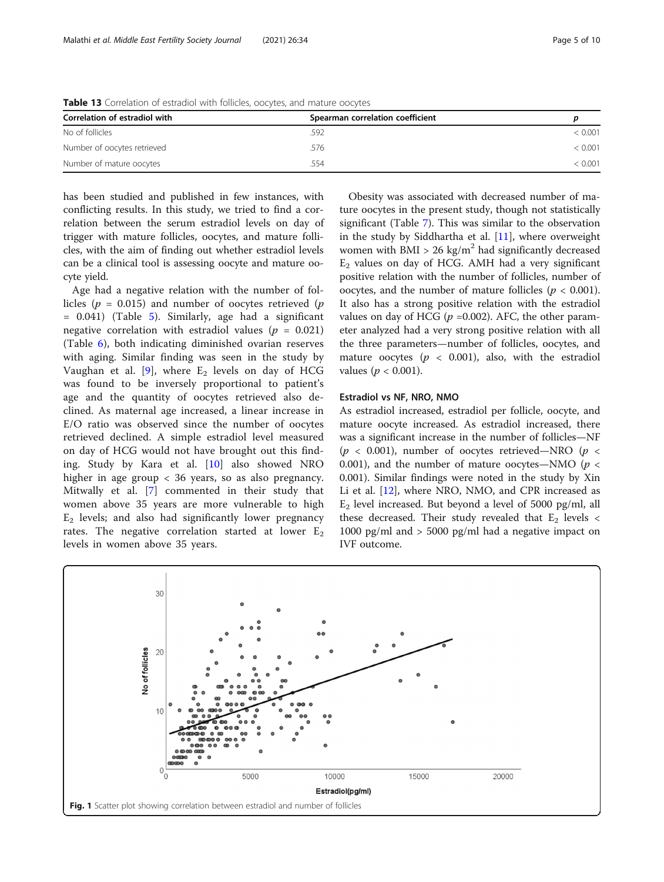<span id="page-4-0"></span>Table 13 Correlation of estradiol with follicles, oocytes, and mature oocytes

| Correlation of estradiol with | Spearman correlation coefficient |         |
|-------------------------------|----------------------------------|---------|
| No of follicles               | .592                             | < 0.001 |
| Number of oocytes retrieved   | .576                             | < 0.001 |
| Number of mature oocytes      | .554                             | < 0.001 |

has been studied and published in few instances, with conflicting results. In this study, we tried to find a correlation between the serum estradiol levels on day of trigger with mature follicles, oocytes, and mature follicles, with the aim of finding out whether estradiol levels can be a clinical tool is assessing oocyte and mature oocyte yield.

Age had a negative relation with the number of follicles ( $p = 0.015$ ) and number of oocytes retrieved ( $p$ = 0.041) (Table [5\)](#page-2-0). Similarly, age had a significant negative correlation with estradiol values ( $p = 0.021$ ) (Table [6\)](#page-2-0), both indicating diminished ovarian reserves with aging. Similar finding was seen in the study by Vaughan et al. [\[9](#page-9-0)], where  $E_2$  levels on day of HCG was found to be inversely proportional to patient's age and the quantity of oocytes retrieved also declined. As maternal age increased, a linear increase in E/O ratio was observed since the number of oocytes retrieved declined. A simple estradiol level measured on day of HCG would not have brought out this finding. Study by Kara et al. [\[10](#page-9-0)] also showed NRO higher in age group < 36 years, so as also pregnancy. Mitwally et al. [\[7](#page-8-0)] commented in their study that women above 35 years are more vulnerable to high  $E<sub>2</sub>$  levels; and also had significantly lower pregnancy rates. The negative correlation started at lower  $E_2$ levels in women above 35 years.

Obesity was associated with decreased number of mature oocytes in the present study, though not statistically significant (Table [7](#page-2-0)). This was similar to the observation in the study by Siddhartha et al. [[11\]](#page-9-0), where overweight women with BMI > 26 kg/m<sup>2</sup> had significantly decreased  $E_2$  values on day of HCG. AMH had a very significant positive relation with the number of follicles, number of oocytes, and the number of mature follicles ( $p < 0.001$ ). It also has a strong positive relation with the estradiol values on day of HCG ( $p = 0.002$ ). AFC, the other parameter analyzed had a very strong positive relation with all the three parameters—number of follicles, oocytes, and mature oocytes ( $p < 0.001$ ), also, with the estradiol values ( $p < 0.001$ ).

#### Estradiol vs NF, NRO, NMO

As estradiol increased, estradiol per follicle, oocyte, and mature oocyte increased. As estradiol increased, there was a significant increase in the number of follicles—NF ( $p < 0.001$ ), number of oocytes retrieved—NRO ( $p <$ 0.001), and the number of mature oocytes—NMO ( $p <$ 0.001). Similar findings were noted in the study by Xin Li et al. [[12](#page-9-0)], where NRO, NMO, and CPR increased as  $E_2$  level increased. But beyond a level of 5000 pg/ml, all these decreased. Their study revealed that  $E_2$  levels < 1000 pg/ml and  $> 5000$  pg/ml had a negative impact on IVF outcome.

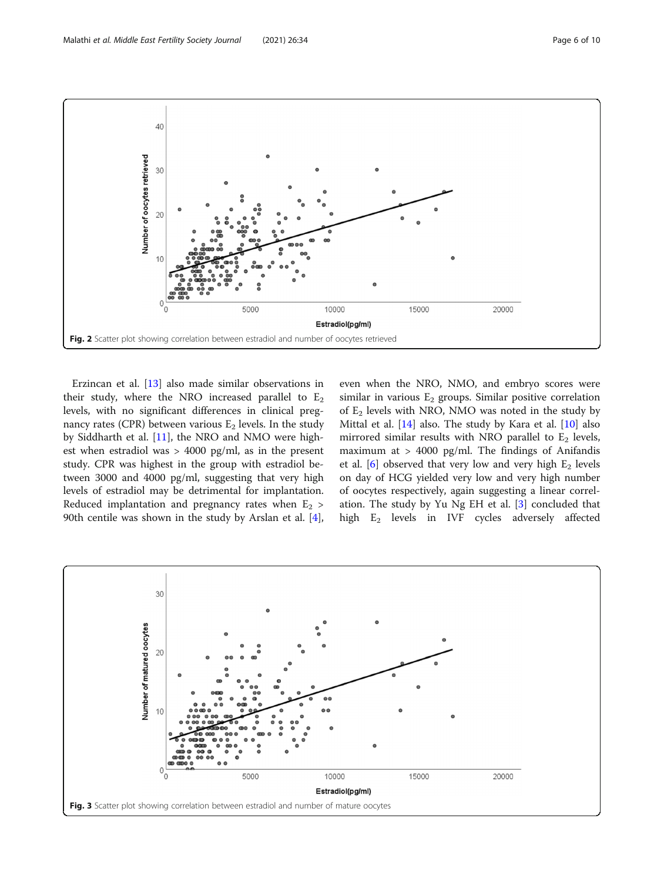<span id="page-5-0"></span>

Erzincan et al. [\[13](#page-9-0)] also made similar observations in their study, where the NRO increased parallel to  $E_2$ levels, with no significant differences in clinical pregnancy rates (CPR) between various  $E_2$  levels. In the study by Siddharth et al. [\[11\]](#page-9-0), the NRO and NMO were highest when estradiol was > 4000 pg/ml, as in the present study. CPR was highest in the group with estradiol between 3000 and 4000 pg/ml, suggesting that very high levels of estradiol may be detrimental for implantation. Reduced implantation and pregnancy rates when  $E_2$  > 90th centile was shown in the study by Arslan et al. [\[4](#page-8-0)], even when the NRO, NMO, and embryo scores were similar in various  $E_2$  groups. Similar positive correlation of  $E_2$  levels with NRO, NMO was noted in the study by Mittal et al. [\[14](#page-9-0)] also. The study by Kara et al. [\[10](#page-9-0)] also mirrored similar results with NRO parallel to  $E_2$  levels, maximum at > 4000 pg/ml. The findings of Anifandis et al.  $[6]$  $[6]$  observed that very low and very high  $E_2$  levels on day of HCG yielded very low and very high number of oocytes respectively, again suggesting a linear correlation. The study by Yu Ng EH et al. [[3\]](#page-8-0) concluded that high E2 levels in IVF cycles adversely affected

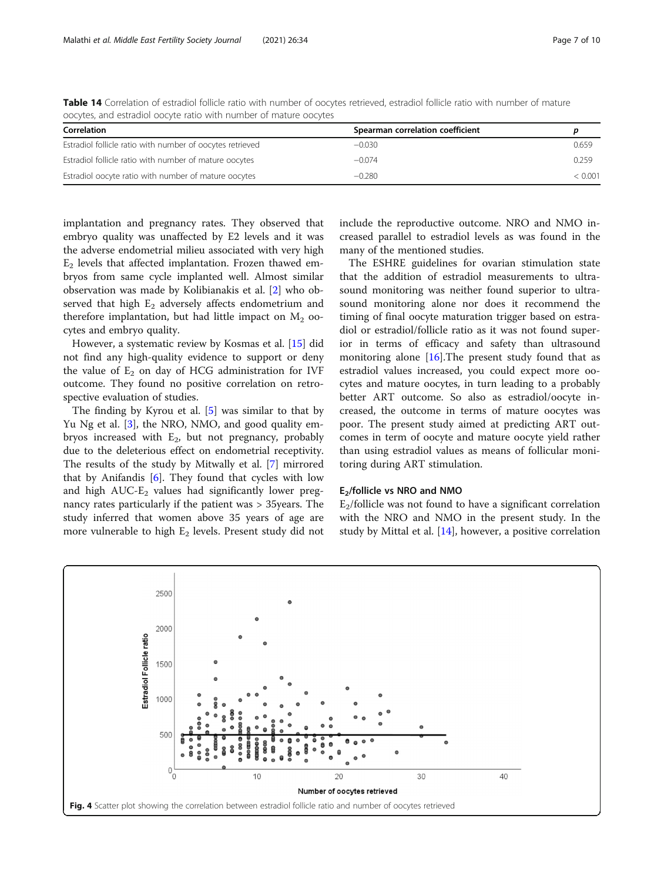| Correlation                                               | Spearman correlation coefficient |         |
|-----------------------------------------------------------|----------------------------------|---------|
| Estradiol follicle ratio with number of oocytes retrieved | $-0.030$                         | 0.659   |
| Estradiol follicle ratio with number of mature oocytes    | $-0.074$                         | 0.259   |
| Estradiol oocyte ratio with number of mature oocytes      | $-0.280$                         | < 0.001 |

<span id="page-6-0"></span>Table 14 Correlation of estradiol follicle ratio with number of oocytes retrieved, estradiol follicle ratio with number of mature oocytes, and estradiol oocyte ratio with number of mature oocytes

implantation and pregnancy rates. They observed that embryo quality was unaffected by E2 levels and it was the adverse endometrial milieu associated with very high  $E<sub>2</sub>$  levels that affected implantation. Frozen thawed embryos from same cycle implanted well. Almost similar observation was made by Kolibianakis et al. [[2](#page-8-0)] who observed that high  $E_2$  adversely affects endometrium and therefore implantation, but had little impact on  $M<sub>2</sub>$  oocytes and embryo quality.

However, a systematic review by Kosmas et al. [[15](#page-9-0)] did not find any high-quality evidence to support or deny the value of  $E_2$  on day of HCG administration for IVF outcome. They found no positive correlation on retrospective evaluation of studies.

The finding by Kyrou et al. [[5\]](#page-8-0) was similar to that by Yu Ng et al. [\[3](#page-8-0)], the NRO, NMO, and good quality embryos increased with  $E<sub>2</sub>$ , but not pregnancy, probably due to the deleterious effect on endometrial receptivity. The results of the study by Mitwally et al. [\[7](#page-8-0)] mirrored that by Anifandis [\[6](#page-8-0)]. They found that cycles with low and high  $AUC-E_2$  values had significantly lower pregnancy rates particularly if the patient was > 35years. The study inferred that women above 35 years of age are more vulnerable to high  $E_2$  levels. Present study did not include the reproductive outcome. NRO and NMO increased parallel to estradiol levels as was found in the many of the mentioned studies.

The ESHRE guidelines for ovarian stimulation state that the addition of estradiol measurements to ultrasound monitoring was neither found superior to ultrasound monitoring alone nor does it recommend the timing of final oocyte maturation trigger based on estradiol or estradiol/follicle ratio as it was not found superior in terms of efficacy and safety than ultrasound monitoring alone  $[16]$  $[16]$  $[16]$ . The present study found that as estradiol values increased, you could expect more oocytes and mature oocytes, in turn leading to a probably better ART outcome. So also as estradiol/oocyte increased, the outcome in terms of mature oocytes was poor. The present study aimed at predicting ART outcomes in term of oocyte and mature oocyte yield rather than using estradiol values as means of follicular monitoring during ART stimulation.

### E2/follicle vs NRO and NMO

 $E<sub>2</sub>/\text{follicle}$  was not found to have a significant correlation with the NRO and NMO in the present study. In the study by Mittal et al. [\[14](#page-9-0)], however, a positive correlation

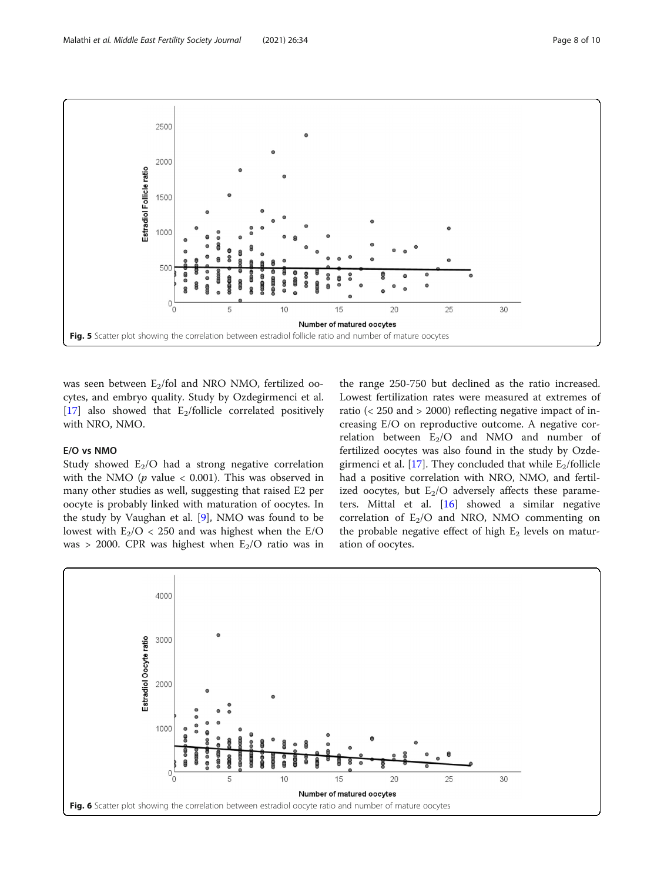<span id="page-7-0"></span>

was seen between  $E_2$ /fol and NRO NMO, fertilized oocytes, and embryo quality. Study by Ozdegirmenci et al. [[17\]](#page-9-0) also showed that  $E_2$ /follicle correlated positively with NRO, NMO.

## E/O vs NMO

Study showed  $E_2/O$  had a strong negative correlation with the NMO ( $p$  value < 0.001). This was observed in many other studies as well, suggesting that raised E2 per oocyte is probably linked with maturation of oocytes. In the study by Vaughan et al. [\[9](#page-9-0)], NMO was found to be lowest with  $E_2/O < 250$  and was highest when the E/O was > 2000. CPR was highest when  $E_2/O$  ratio was in

the range 250-750 but declined as the ratio increased. Lowest fertilization rates were measured at extremes of ratio (< 250 and > 2000) reflecting negative impact of increasing E/O on reproductive outcome. A negative correlation between  $E_2/O$  and NMO and number of fertilized oocytes was also found in the study by Ozde-girmenci et al. [[17\]](#page-9-0). They concluded that while  $E_2$ /follicle had a positive correlation with NRO, NMO, and fertilized oocytes, but  $E_2/O$  adversely affects these parameters. Mittal et al. [[16\]](#page-9-0) showed a similar negative correlation of  $E_2/O$  and NRO, NMO commenting on the probable negative effect of high  $E_2$  levels on maturation of oocytes.

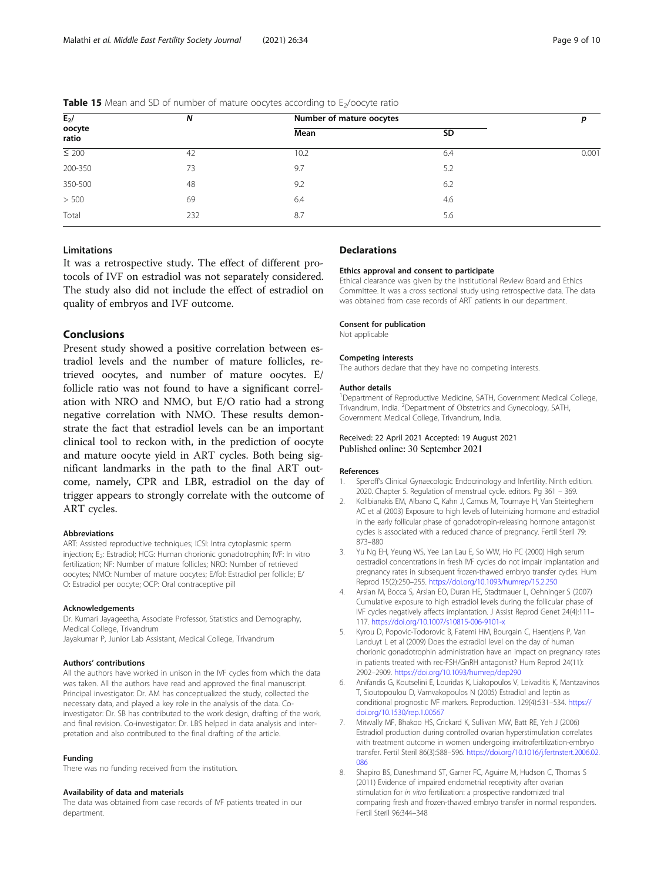| $E_2$ /<br>oocyte<br>ratio | N   | Number of mature oocytes | р         |       |
|----------------------------|-----|--------------------------|-----------|-------|
|                            |     | Mean                     | <b>SD</b> |       |
| $\leq 200$                 | 42  | 10.2                     | 6.4       | 0.001 |
| 200-350                    | 73  | 9.7                      | 5.2       |       |
| 350-500                    | 48  | 9.2                      | 6.2       |       |
| > 500                      | 69  | 6.4                      | 4.6       |       |
| Total                      | 232 | 8.7                      | 5.6       |       |

#### <span id="page-8-0"></span>**Table 15** Mean and SD of number of mature oocytes according to  $E_2$ /oocyte ratio

## Limitations

It was a retrospective study. The effect of different protocols of IVF on estradiol was not separately considered. The study also did not include the effect of estradiol on quality of embryos and IVF outcome.

## **Conclusions**

Present study showed a positive correlation between estradiol levels and the number of mature follicles, retrieved oocytes, and number of mature oocytes. E/ follicle ratio was not found to have a significant correlation with NRO and NMO, but E/O ratio had a strong negative correlation with NMO. These results demonstrate the fact that estradiol levels can be an important clinical tool to reckon with, in the prediction of oocyte and mature oocyte yield in ART cycles. Both being significant landmarks in the path to the final ART outcome, namely, CPR and LBR, estradiol on the day of trigger appears to strongly correlate with the outcome of ART cycles.

#### Abbreviations

ART: Assisted reproductive techniques; ICSI: Intra cytoplasmic sperm injection; E<sub>2</sub>: Estradiol; HCG: Human chorionic gonadotrophin; IVF: In vitro fertilization; NF: Number of mature follicles; NRO: Number of retrieved oocytes; NMO: Number of mature oocytes; E/fol: Estradiol per follicle; E/ O: Estradiol per oocyte; OCP: Oral contraceptive pill

#### Acknowledgements

Dr. Kumari Jayageetha, Associate Professor, Statistics and Demography, Medical College, Trivandrum Jayakumar P, Junior Lab Assistant, Medical College, Trivandrum

#### Authors' contributions

All the authors have worked in unison in the IVF cycles from which the data was taken. All the authors have read and approved the final manuscript. Principal investigator: Dr. AM has conceptualized the study, collected the necessary data, and played a key role in the analysis of the data. Coinvestigator: Dr. SB has contributed to the work design, drafting of the work, and final revision. Co-investigator: Dr. LBS helped in data analysis and interpretation and also contributed to the final drafting of the article.

#### Funding

There was no funding received from the institution.

#### Availability of data and materials

The data was obtained from case records of IVF patients treated in our department.

## **Declarations**

#### Ethics approval and consent to participate

Ethical clearance was given by the Institutional Review Board and Ethics Committee. It was a cross sectional study using retrospective data. The data was obtained from case records of ART patients in our department.

#### Consent for publication

Not applicable

#### Competing interests

The authors declare that they have no competing interests.

#### Author details

<sup>1</sup>Department of Reproductive Medicine, SATH, Government Medical College, Trivandrum, India. <sup>2</sup>Department of Obstetrics and Gynecology, SATH Government Medical College, Trivandrum, India.

## Received: 22 April 2021 Accepted: 19 August 2021 Published online: 30 September 2021

#### References

- 1. Speroff's Clinical Gynaecologic Endocrinology and Infertility. Ninth edition. 2020. Chapter 5. Regulation of menstrual cycle. editors. Pg 361 – 369.
- Kolibianakis EM, Albano C, Kahn J, Camus M, Tournaye H, Van Steirteghem AC et al (2003) Exposure to high levels of luteinizing hormone and estradiol in the early follicular phase of gonadotropin-releasing hormone antagonist cycles is associated with a reduced chance of pregnancy. Fertil Steril 79: 873–880
- 3. Yu Ng EH, Yeung WS, Yee Lan Lau E, So WW, Ho PC (2000) High serum oestradiol concentrations in fresh IVF cycles do not impair implantation and pregnancy rates in subsequent frozen-thawed embryo transfer cycles. Hum Reprod 15(2):250–255. <https://doi.org/10.1093/humrep/15.2.250>
- 4. Arslan M, Bocca S, Arslan EO, Duran HE, Stadtmauer L, Oehninger S (2007) Cumulative exposure to high estradiol levels during the follicular phase of IVF cycles negatively affects implantation. J Assist Reprod Genet 24(4):111– 117. <https://doi.org/10.1007/s10815-006-9101-x>
- 5. Kyrou D, Popovic-Todorovic B, Fatemi HM, Bourgain C, Haentjens P, Van Landuyt L et al (2009) Does the estradiol level on the day of human chorionic gonadotrophin administration have an impact on pregnancy rates in patients treated with rec-FSH/GnRH antagonist? Hum Reprod 24(11): 2902–2909. <https://doi.org/10.1093/humrep/dep290>
- 6. Anifandis G, Koutselini E, Louridas K, Liakopoulos V, Leivaditis K, Mantzavinos T, Sioutopoulou D, Vamvakopoulos N (2005) Estradiol and leptin as conditional prognostic IVF markers. Reproduction. 129(4):531–534. [https://](https://doi.org/10.1530/rep.1.00567) [doi.org/10.1530/rep.1.00567](https://doi.org/10.1530/rep.1.00567)
- 7. Mitwally MF, Bhakoo HS, Crickard K, Sullivan MW, Batt RE, Yeh J (2006) Estradiol production during controlled ovarian hyperstimulation correlates with treatment outcome in women undergoing invitrofertilization-embryo transfer. Fertil Steril 86(3):588–596. [https://doi.org/10.1016/j.fertnstert.2006.02.](https://doi.org/10.1016/j.fertnstert.2006.02.086) [086](https://doi.org/10.1016/j.fertnstert.2006.02.086)
- 8. Shapiro BS, Daneshmand ST, Garner FC, Aguirre M, Hudson C, Thomas S (2011) Evidence of impaired endometrial receptivity after ovarian stimulation for in vitro fertilization: a prospective randomized trial comparing fresh and frozen-thawed embryo transfer in normal responders. Fertil Steril 96:344–348